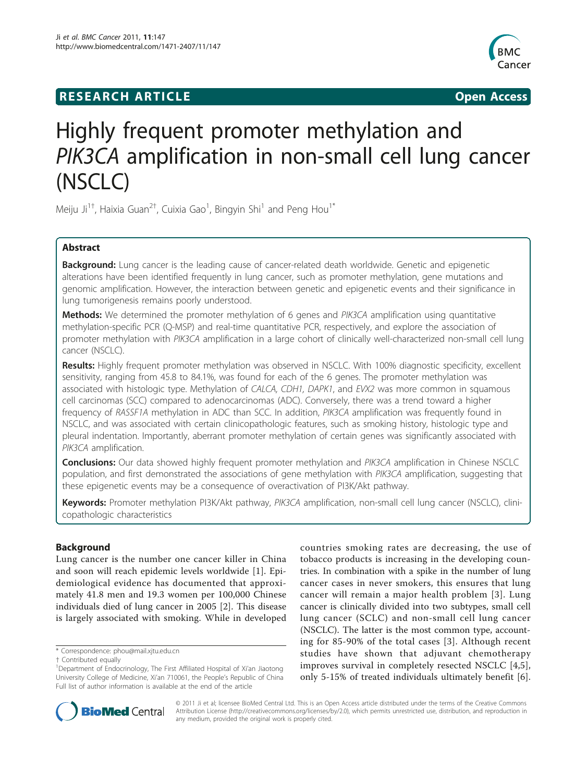## **RESEARCH ARTICLE Example 2018 12:00 Open Access**



# Highly frequent promoter methylation and PIK3CA amplification in non-small cell lung cancer (NSCLC)

Meiju Ji $^{1\dagger}$ , Haixia Guan $^{2\dagger}$ , Cuixia Gao $^1$ , Bingyin Shi $^1$  and Peng Hou $^{1*}$ 

## Abstract

Background: Lung cancer is the leading cause of cancer-related death worldwide. Genetic and epigenetic alterations have been identified frequently in lung cancer, such as promoter methylation, gene mutations and genomic amplification. However, the interaction between genetic and epigenetic events and their significance in lung tumorigenesis remains poorly understood.

**Methods:** We determined the promoter methylation of 6 genes and PIK3CA amplification using quantitative methylation-specific PCR (Q-MSP) and real-time quantitative PCR, respectively, and explore the association of promoter methylation with PIK3CA amplification in a large cohort of clinically well-characterized non-small cell lung cancer (NSCLC).

Results: Highly frequent promoter methylation was observed in NSCLC. With 100% diagnostic specificity, excellent sensitivity, ranging from 45.8 to 84.1%, was found for each of the 6 genes. The promoter methylation was associated with histologic type. Methylation of CALCA, CDH1, DAPK1, and EVX2 was more common in squamous cell carcinomas (SCC) compared to adenocarcinomas (ADC). Conversely, there was a trend toward a higher frequency of RASSF1A methylation in ADC than SCC. In addition, PIK3CA amplification was frequently found in NSCLC, and was associated with certain clinicopathologic features, such as smoking history, histologic type and pleural indentation. Importantly, aberrant promoter methylation of certain genes was significantly associated with PIK3CA amplification.

**Conclusions:** Our data showed highly frequent promoter methylation and PIK3CA amplification in Chinese NSCLC population, and first demonstrated the associations of gene methylation with PIK3CA amplification, suggesting that these epigenetic events may be a consequence of overactivation of PI3K/Akt pathway.

Keywords: Promoter methylation PI3K/Akt pathway, PIK3CA amplification, non-small cell lung cancer (NSCLC), clinicopathologic characteristics

## Background

Lung cancer is the number one cancer killer in China and soon will reach epidemic levels worldwide [[1\]](#page-9-0). Epidemiological evidence has documented that approximately 41.8 men and 19.3 women per 100,000 Chinese individuals died of lung cancer in 2005 [\[2](#page-9-0)]. This disease is largely associated with smoking. While in developed

\* Correspondence: [phou@mail.xjtu.edu.cn](mailto:phou@mail.xjtu.edu.cn)

† Contributed equally <sup>1</sup>

countries smoking rates are decreasing, the use of tobacco products is increasing in the developing countries. In combination with a spike in the number of lung cancer cases in never smokers, this ensures that lung cancer will remain a major health problem [[3](#page-9-0)]. Lung cancer is clinically divided into two subtypes, small cell lung cancer (SCLC) and non-small cell lung cancer (NSCLC). The latter is the most common type, accounting for 85-90% of the total cases [[3\]](#page-9-0). Although recent studies have shown that adjuvant chemotherapy improves survival in completely resected NSCLC [[4,5](#page-9-0)], only 5-15% of treated individuals ultimately benefit [\[6](#page-9-0)].



© 2011 Ji et al; licensee BioMed Central Ltd. This is an Open Access article distributed under the terms of the Creative Commons Attribution License [\(http://creativecommons.org/licenses/by/2.0](http://creativecommons.org/licenses/by/2.0)), which permits unrestricted use, distribution, and reproduction in any medium, provided the original work is properly cited.

<sup>&</sup>lt;sup>1</sup>Department of Endocrinology, The First Affiliated Hospital of Xi'an Jiaotong University College of Medicine, Xi'an 710061, the People's Republic of China Full list of author information is available at the end of the article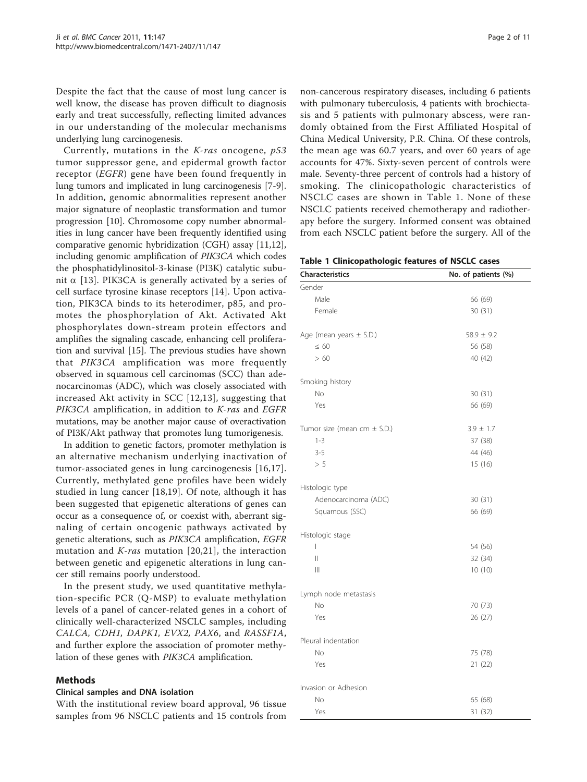<span id="page-1-0"></span>Despite the fact that the cause of most lung cancer is well know, the disease has proven difficult to diagnosis early and treat successfully, reflecting limited advances in our understanding of the molecular mechanisms underlying lung carcinogenesis.

Currently, mutations in the  $K-ras$  oncogene,  $p53$ tumor suppressor gene, and epidermal growth factor receptor (EGFR) gene have been found frequently in lung tumors and implicated in lung carcinogenesis [[7-9](#page-9-0)]. In addition, genomic abnormalities represent another major signature of neoplastic transformation and tumor progression [\[10](#page-9-0)]. Chromosome copy number abnormalities in lung cancer have been frequently identified using comparative genomic hybridization (CGH) assay [\[11,12](#page-9-0)], including genomic amplification of PIK3CA which codes the phosphatidylinositol-3-kinase (PI3K) catalytic subunit  $\alpha$  [[13\]](#page-9-0). PIK3CA is generally activated by a series of cell surface tyrosine kinase receptors [[14\]](#page-9-0). Upon activation, PIK3CA binds to its heterodimer, p85, and promotes the phosphorylation of Akt. Activated Akt phosphorylates down-stream protein effectors and amplifies the signaling cascade, enhancing cell proliferation and survival [\[15](#page-9-0)]. The previous studies have shown that PIK3CA amplification was more frequently observed in squamous cell carcinomas (SCC) than adenocarcinomas (ADC), which was closely associated with increased Akt activity in SCC [[12](#page-9-0),[13\]](#page-9-0), suggesting that PIK3CA amplification, in addition to K-ras and EGFR mutations, may be another major cause of overactivation of PI3K/Akt pathway that promotes lung tumorigenesis.

In addition to genetic factors, promoter methylation is an alternative mechanism underlying inactivation of tumor-associated genes in lung carcinogenesis [\[16,17](#page-9-0)]. Currently, methylated gene profiles have been widely studied in lung cancer [[18,19](#page-9-0)]. Of note, although it has been suggested that epigenetic alterations of genes can occur as a consequence of, or coexist with, aberrant signaling of certain oncogenic pathways activated by genetic alterations, such as PIK3CA amplification, EGFR mutation and  $K-ras$  mutation [[20,21\]](#page-9-0), the interaction between genetic and epigenetic alterations in lung cancer still remains poorly understood.

In the present study, we used quantitative methylation-specific PCR (Q-MSP) to evaluate methylation levels of a panel of cancer-related genes in a cohort of clinically well-characterized NSCLC samples, including CALCA, CDH1, DAPK1, EVX2, PAX6, and RASSF1A, and further explore the association of promoter methylation of these genes with PIK3CA amplification.

#### Methods

#### Clinical samples and DNA isolation

With the institutional review board approval, 96 tissue samples from 96 NSCLC patients and 15 controls from non-cancerous respiratory diseases, including 6 patients with pulmonary tuberculosis, 4 patients with brochiectasis and 5 patients with pulmonary abscess, were randomly obtained from the First Affiliated Hospital of China Medical University, P.R. China. Of these controls, the mean age was 60.7 years, and over 60 years of age accounts for 47%. Sixty-seven percent of controls were male. Seventy-three percent of controls had a history of smoking. The clinicopathologic characteristics of NSCLC cases are shown in Table 1. None of these NSCLC patients received chemotherapy and radiotherapy before the surgery. Informed consent was obtained from each NSCLC patient before the surgery. All of the

|  |  | Table 1 Clinicopathologic features of NSCLC cases |  |  |  |  |
|--|--|---------------------------------------------------|--|--|--|--|
|--|--|---------------------------------------------------|--|--|--|--|

| <b>Characteristics</b>          | No. of patients (%) |
|---------------------------------|---------------------|
| Gender                          |                     |
| Male                            | 66 (69)             |
| Female                          | 30(31)              |
| Age (mean years $\pm$ S.D.)     | $58.9 \pm 9.2$      |
| $\leq 60$                       | 56 (58)             |
| >60                             | 40 (42)             |
| Smoking history                 |                     |
| No                              | 30 (31)             |
| Yes                             | 66 (69)             |
| Tumor size (mean cm $\pm$ S.D.) | $3.9 \pm 1.7$       |
| $1 - 3$                         | 37 (38)             |
| $3 - 5$                         | 44 (46)             |
| > 5                             | 15(16)              |
| Histologic type                 |                     |
| Adenocarcinoma (ADC)            | 30 (31)             |
| Squamous (SSC)                  | 66 (69)             |
| Histologic stage                |                     |
| I                               | 54 (56)             |
| $\parallel$                     | 32 (34)             |
| $\parallel$                     | 10 (10)             |
| Lymph node metastasis           |                     |
| No                              | 70 (73)             |
| Yes                             | 26 (27)             |
| Pleural indentation             |                     |
| No                              | 75 (78)             |
| Yes                             | 21 (22)             |
| Invasion or Adhesion            |                     |
| No                              | 65 (68)             |
| Yes                             | 31 (32)             |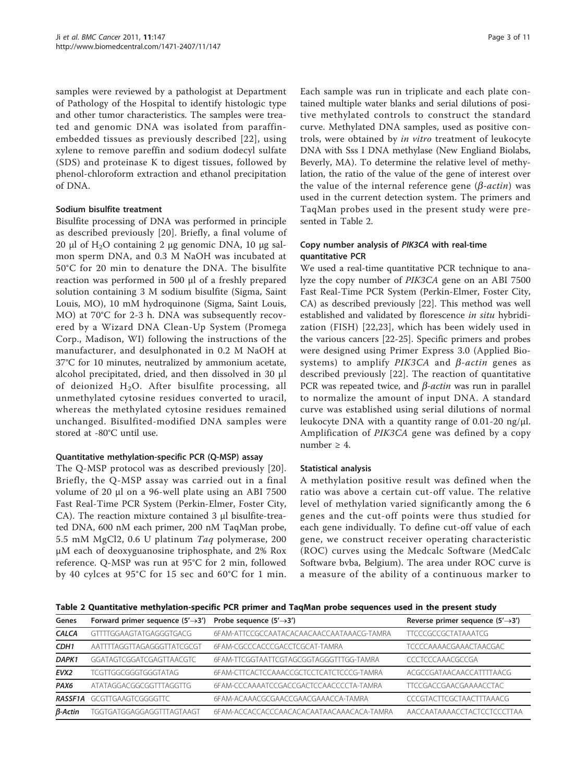samples were reviewed by a pathologist at Department of Pathology of the Hospital to identify histologic type and other tumor characteristics. The samples were treated and genomic DNA was isolated from paraffinembedded tissues as previously described [\[22\]](#page-9-0), using xylene to remove pareffin and sodium dodecyl sulfate (SDS) and proteinase K to digest tissues, followed by phenol-chloroform extraction and ethanol precipitation of DNA.

## Sodium bisulfite treatment

Bisulfite processing of DNA was performed in principle as described previously [[20\]](#page-9-0). Briefly, a final volume of 20 μl of H<sub>2</sub>O containing 2 μg genomic DNA, 10 μg salmon sperm DNA, and 0.3 M NaOH was incubated at 50°C for 20 min to denature the DNA. The bisulfite reaction was performed in 500 μl of a freshly prepared solution containing 3 M sodium bisulfite (Sigma, Saint Louis, MO), 10 mM hydroquinone (Sigma, Saint Louis, MO) at 70°C for 2-3 h. DNA was subsequently recovered by a Wizard DNA Clean-Up System (Promega Corp., Madison, WI) following the instructions of the manufacturer, and desulphonated in 0.2 M NaOH at 37°C for 10 minutes, neutralized by ammonium acetate, alcohol precipitated, dried, and then dissolved in 30 μl of deionized  $H_2O$ . After bisulfite processing, all unmethylated cytosine residues converted to uracil, whereas the methylated cytosine residues remained unchanged. Bisulfited-modified DNA samples were stored at -80°C until use.

## Quantitative methylation-specific PCR (Q-MSP) assay

The Q-MSP protocol was as described previously [[20](#page-9-0)]. Briefly, the Q-MSP assay was carried out in a final volume of 20 μl on a 96-well plate using an ABI 7500 Fast Real-Time PCR System (Perkin-Elmer, Foster City, CA). The reaction mixture contained 3 μl bisulfite-treated DNA, 600 nM each primer, 200 nM TaqMan probe, 5.5 mM MgCl2, 0.6 U platinum Taq polymerase, 200 μM each of deoxyguanosine triphosphate, and 2% Rox reference. Q-MSP was run at 95°C for 2 min, followed by 40 cylces at 95°C for 15 sec and 60°C for 1 min.

Each sample was run in triplicate and each plate contained multiple water blanks and serial dilutions of positive methylated controls to construct the standard curve. Methylated DNA samples, used as positive controls, were obtained by in vitro treatment of leukocyte DNA with Sss I DNA methylase (New Engliand Biolabs, Beverly, MA). To determine the relative level of methylation, the ratio of the value of the gene of interest over the value of the internal reference gene  $(\beta$ -*actin*) was used in the current detection system. The primers and TaqMan probes used in the present study were presented in Table 2.

## Copy number analysis of PIK3CA with real-time quantitative PCR

We used a real-time quantitative PCR technique to analyze the copy number of PIK3CA gene on an ABI 7500 Fast Real-Time PCR System (Perkin-Elmer, Foster City, CA) as described previously [[22\]](#page-9-0). This method was well established and validated by florescence in situ hybridization (FISH) [[22](#page-9-0),[23](#page-9-0)], which has been widely used in the various cancers [[22-25](#page-9-0)]. Specific primers and probes were designed using Primer Express 3.0 (Applied Biosystems) to amplify  $PIK3CA$  and  $\beta$ -actin genes as described previously [[22\]](#page-9-0). The reaction of quantitative PCR was repeated twice, and  $\beta$ -actin was run in parallel to normalize the amount of input DNA. A standard curve was established using serial dilutions of normal leukocyte DNA with a quantity range of 0.01-20 ng/μl. Amplification of PIK3CA gene was defined by a copy number  $\geq 4$ .

## Statistical analysis

A methylation positive result was defined when the ratio was above a certain cut-off value. The relative level of methylation varied significantly among the 6 genes and the cut-off points were thus studied for each gene individually. To define cut-off value of each gene, we construct receiver operating characteristic (ROC) curves using the Medcalc Software (MedCalc Software bvba, Belgium). The area under ROC curve is a measure of the ability of a continuous marker to

Table 2 Quantitative methylation-specific PCR primer and TaqMan probe sequences used in the present study

| Genes            | Forward primer sequence $(5' \rightarrow 3')$ Probe sequence $(5' \rightarrow 3')$ |                                           | Reverse primer sequence $(5' \rightarrow 3')$ |
|------------------|------------------------------------------------------------------------------------|-------------------------------------------|-----------------------------------------------|
| <b>CALCA</b>     | GTTTTGGAAGTATGAGGGTGACG                                                            | 6FAM-ATTCCGCCAATACACAACAACCAATAAACG-TAMRA | <b>TTCCCGCCGCTATAAATCG</b>                    |
| CDH <sub>1</sub> | AATTTTAGGTTAGAGGGTTATCGCGT                                                         | 6FAM-CGCCCACCCGACCTCGCAT-TAMRA            | <b>TCCCCAAAACGAAACTAACGAC</b>                 |
| DAPK1            | GGATAGTCGGATCGAGTTAACGTC                                                           | 6FAM-TTCGGTAATTCGTAGCGGTAGGGTTTGG-TAMRA   | CCCTCCCAAACGCCGA                              |
| EVX <sub>2</sub> | TCGTTGGCGGGTGGGTATAG                                                               | 6FAM-CTTCACTCCAAACCGCTCCTCATCTCCCG-TAMRA  | ACGCCGATAACAACCATTTTAACG                      |
| PAX <sub>6</sub> | ATATAGGACGGCGGTTTAGGTTG                                                            | 6FAM-CCCAAAATCCGACCGACTCCAACCCCTA-TAMRA   | <b>TTCCGACCGAACGAAAACCTAC</b>                 |
| RASSF1A          | GCGTTGAAGTCGGGGTTC                                                                 | 6FAM-ACAAACGCGAACCGAACGAAACCA-TAMRA       | <b>CCCGTACTTCGCTAACTTTAAACG</b>               |
| $\beta$ -Actin   | TGGTGATGGAGGAGGTTTAGTAAGT                                                          | 6FAM-ACCACCACCCAACACACAATAACAAACACA-TAMRA | AACCAATAAAACCTACTCCTCCCTTAA                   |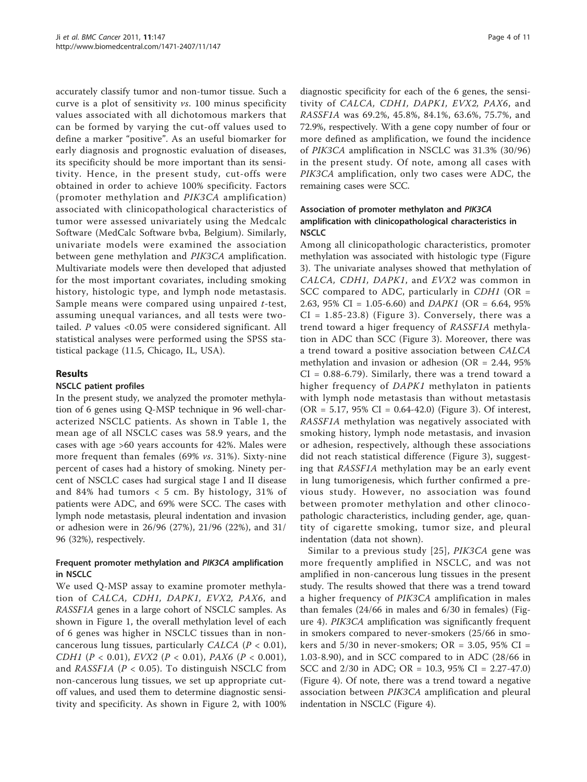accurately classify tumor and non-tumor tissue. Such a curve is a plot of sensitivity vs. 100 minus specificity values associated with all dichotomous markers that can be formed by varying the cut-off values used to define a marker "positive". As an useful biomarker for early diagnosis and prognostic evaluation of diseases, its specificity should be more important than its sensitivity. Hence, in the present study, cut-offs were obtained in order to achieve 100% specificity. Factors (promoter methylation and PIK3CA amplification) associated with clinicopathological characteristics of tumor were assessed univariately using the Medcalc Software (MedCalc Software bvba, Belgium). Similarly, univariate models were examined the association between gene methylation and PIK3CA amplification. Multivariate models were then developed that adjusted for the most important covariates, including smoking history, histologic type, and lymph node metastasis. Sample means were compared using unpaired t-test, assuming unequal variances, and all tests were twotailed. P values <0.05 were considered significant. All statistical analyses were performed using the SPSS statistical package (11.5, Chicago, IL, USA).

## Results

#### NSCLC patient profiles

In the present study, we analyzed the promoter methylation of 6 genes using Q-MSP technique in 96 well-characterized NSCLC patients. As shown in Table [1,](#page-1-0) the mean age of all NSCLC cases was 58.9 years, and the cases with age >60 years accounts for 42%. Males were more frequent than females (69% vs. 31%). Sixty-nine percent of cases had a history of smoking. Ninety percent of NSCLC cases had surgical stage I and II disease and 84% had tumors < 5 cm. By histology, 31% of patients were ADC, and 69% were SCC. The cases with lymph node metastasis, pleural indentation and invasion or adhesion were in 26/96 (27%), 21/96 (22%), and 31/ 96 (32%), respectively.

## Frequent promoter methylation and PIK3CA amplification in NSCLC

We used Q-MSP assay to examine promoter methylation of CALCA, CDH1, DAPK1, EVX2, PAX6, and RASSF1A genes in a large cohort of NSCLC samples. As shown in Figure [1,](#page-4-0) the overall methylation level of each of 6 genes was higher in NSCLC tissues than in noncancerous lung tissues, particularly CALCA ( $P < 0.01$ ), CDH1 (P < 0.01), EVX2 (P < 0.01), PAX6 (P < 0.001), and *RASSF1A* ( $P < 0.05$ ). To distinguish NSCLC from non-cancerous lung tissues, we set up appropriate cutoff values, and used them to determine diagnostic sensitivity and specificity. As shown in Figure [2,](#page-5-0) with 100%

diagnostic specificity for each of the 6 genes, the sensitivity of CALCA, CDH1, DAPK1, EVX2, PAX6, and RASSF1A was 69.2%, 45.8%, 84.1%, 63.6%, 75.7%, and 72.9%, respectively. With a gene copy number of four or more defined as amplification, we found the incidence of PIK3CA amplification in NSCLC was 31.3% (30/96) in the present study. Of note, among all cases with PIK3CA amplification, only two cases were ADC, the remaining cases were SCC.

## Association of promoter methylaton and PIK3CA amplification with clinicopathological characteristics in NSCLC

Among all clinicopathologic characteristics, promoter methylation was associated with histologic type (Figure [3\)](#page-6-0). The univariate analyses showed that methylation of CALCA, CDH1, DAPK1, and EVX2 was common in SCC compared to ADC, particularly in  $CDH1$  (OR = 2.63, 95% CI = 1.05-6.60) and *DAPK1* (OR = 6.64, 95%)  $CI = 1.85 - 23.8$ ) (Figure [3](#page-6-0)). Conversely, there was a trend toward a higer frequency of RASSF1A methylation in ADC than SCC (Figure [3](#page-6-0)). Moreover, there was a trend toward a positive association between CALCA methylation and invasion or adhesion (OR = 2.44, 95%  $CI = 0.88-6.79$ . Similarly, there was a trend toward a higher frequency of DAPK1 methylaton in patients with lymph node metastasis than without metastasis (OR = 5.17, 95% CI = 0.64-42.0) (Figure [3](#page-6-0)). Of interest, RASSF1A methylation was negatively associated with smoking history, lymph node metastasis, and invasion or adhesion, respectively, although these associations did not reach statistical difference (Figure [3\)](#page-6-0), suggesting that RASSF1A methylation may be an early event in lung tumorigenesis, which further confirmed a previous study. However, no association was found between promoter methylation and other clinocopathologic characteristics, including gender, age, quantity of cigarette smoking, tumor size, and pleural indentation (data not shown).

Similar to a previous study [[25\]](#page-9-0), PIK3CA gene was more frequently amplified in NSCLC, and was not amplified in non-cancerous lung tissues in the present study. The results showed that there was a trend toward a higher frequency of PIK3CA amplification in males than females (24/66 in males and 6/30 in females) (Figure [4\)](#page-7-0). PIK3CA amplification was significantly frequent in smokers compared to never-smokers (25/66 in smokers and  $5/30$  in never-smokers; OR = 3.05, 95% CI = 1.03-8.90), and in SCC compared to in ADC (28/66 in SCC and 2/30 in ADC; OR = 10.3, 95% CI = 2.27-47.0) (Figure [4](#page-7-0)). Of note, there was a trend toward a negative association between PIK3CA amplification and pleural indentation in NSCLC (Figure [4\)](#page-7-0).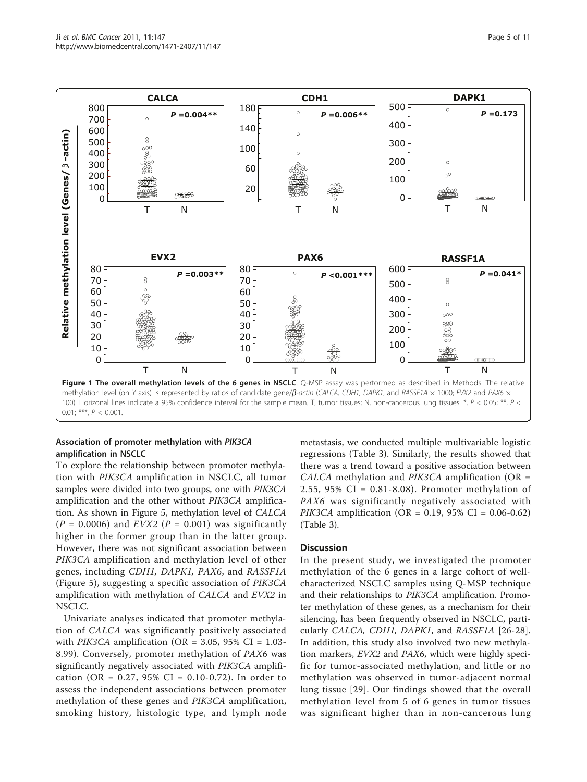<span id="page-4-0"></span>

#### Association of promoter methylation with PIK3CA amplification in NSCLC

To explore the relationship between promoter methylation with PIK3CA amplification in NSCLC, all tumor samples were divided into two groups, one with PIK3CA amplification and the other without PIK3CA amplification. As shown in Figure [5](#page-7-0), methylation level of CALCA  $(P = 0.0006)$  and  $EVX2$   $(P = 0.001)$  was significantly higher in the former group than in the latter group. However, there was not significant association between PIK3CA amplification and methylation level of other genes, including CDH1, DAPK1, PAX6, and RASSF1A (Figure [5](#page-7-0)), suggesting a specific association of PIK3CA amplification with methylation of CALCA and EVX2 in NSCLC.

Univariate analyses indicated that promoter methylation of CALCA was significantly positively associated with *PIK3CA* amplification (OR = 3.05, 95% CI =  $1.03$ -8.99). Conversely, promoter methylation of PAX6 was significantly negatively associated with PIK3CA amplification (OR = 0.27, 95% CI = 0.10-0.72). In order to assess the independent associations between promoter methylation of these genes and PIK3CA amplification, smoking history, histologic type, and lymph node

metastasis, we conducted multiple multivariable logistic regressions (Table [3](#page-8-0)). Similarly, the results showed that there was a trend toward a positive association between CALCA methylation and PIK3CA amplification (OR = 2.55, 95% CI = 0.81-8.08). Promoter methylation of PAX6 was significantly negatively associated with *PIK3CA* amplification (OR = 0.19, 95% CI = 0.06-0.62) (Table [3\)](#page-8-0).

#### **Discussion**

In the present study, we investigated the promoter methylation of the 6 genes in a large cohort of wellcharacterized NSCLC samples using Q-MSP technique and their relationships to PIK3CA amplification. Promoter methylation of these genes, as a mechanism for their silencing, has been frequently observed in NSCLC, parti-cularly CALCA, CDH1, DAPK1, and RASSF1A [[26](#page-9-0)-[28](#page-9-0)]. In addition, this study also involved two new methylation markers, EVX2 and PAX6, which were highly specific for tumor-associated methylation, and little or no methylation was observed in tumor-adjacent normal lung tissue [[29\]](#page-9-0). Our findings showed that the overall methylation level from 5 of 6 genes in tumor tissues was significant higher than in non-cancerous lung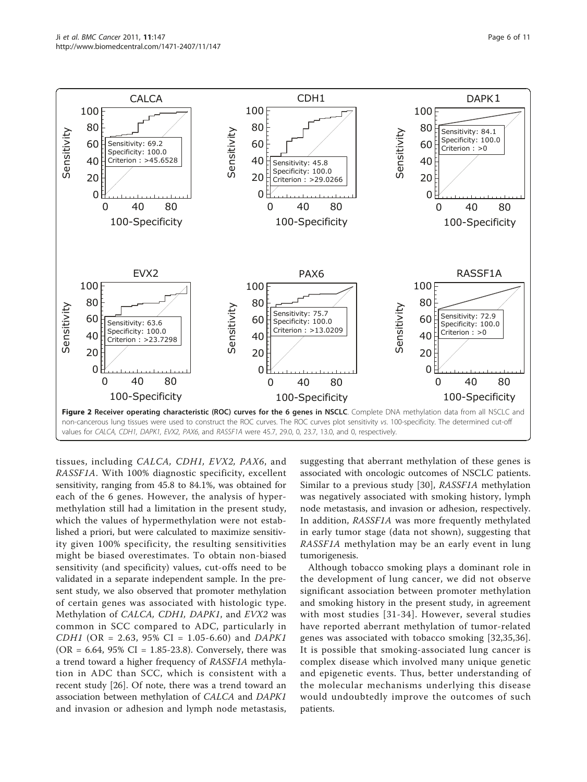<span id="page-5-0"></span>

tissues, including CALCA, CDH1, EVX2, PAX6, and RASSF1A. With 100% diagnostic specificity, excellent sensitivity, ranging from 45.8 to 84.1%, was obtained for each of the 6 genes. However, the analysis of hypermethylation still had a limitation in the present study, which the values of hypermethylation were not established a priori, but were calculated to maximize sensitivity given 100% specificity, the resulting sensitivities might be biased overestimates. To obtain non-biased sensitivity (and specificity) values, cut-offs need to be validated in a separate independent sample. In the present study, we also observed that promoter methylation of certain genes was associated with histologic type. Methylation of CALCA, CDH1, DAPK1, and EVX2 was common in SCC compared to ADC, particularly in  $CDH1$  (OR = 2.63, 95% CI = 1.05-6.60) and DAPK1  $(OR = 6.64, 95\% \text{ CI} = 1.85 - 23.8)$ . Conversely, there was a trend toward a higher frequency of RASSF1A methylation in ADC than SCC, which is consistent with a recent study [[26\]](#page-9-0). Of note, there was a trend toward an association between methylation of CALCA and DAPK1 and invasion or adhesion and lymph node metastasis, suggesting that aberrant methylation of these genes is associated with oncologic outcomes of NSCLC patients. Similar to a previous study [\[30\]](#page-9-0), RASSF1A methylation was negatively associated with smoking history, lymph node metastasis, and invasion or adhesion, respectively. In addition, RASSF1A was more frequently methylated in early tumor stage (data not shown), suggesting that RASSF1A methylation may be an early event in lung tumorigenesis.

Although tobacco smoking plays a dominant role in the development of lung cancer, we did not observe significant association between promoter methylation and smoking history in the present study, in agreement with most studies [[31-34\]](#page-9-0). However, several studies have reported aberrant methylation of tumor-related genes was associated with tobacco smoking [[32](#page-9-0),[35,36](#page-9-0)]. It is possible that smoking-associated lung cancer is complex disease which involved many unique genetic and epigenetic events. Thus, better understanding of the molecular mechanisms underlying this disease would undoubtedly improve the outcomes of such patients.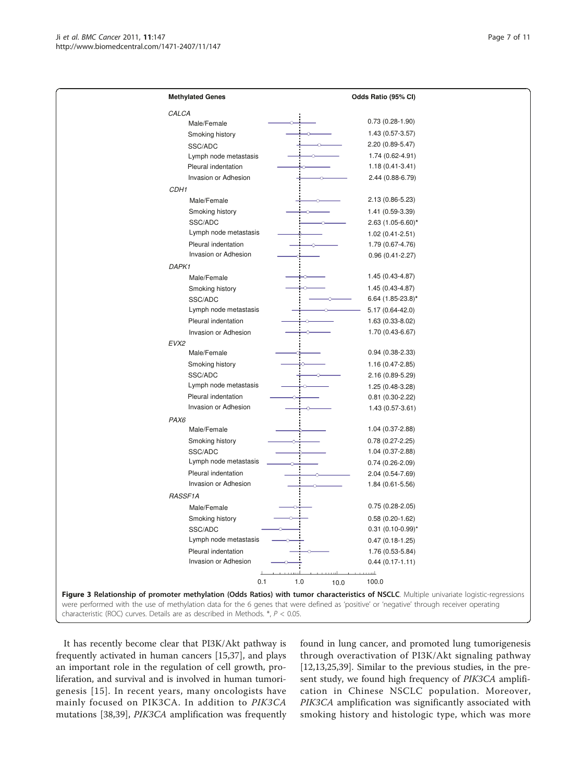<span id="page-6-0"></span>

| <b>Methylated Genes</b>                                                                                                                  |      | Odds Ratio (95% CI)                                                                                                                       |
|------------------------------------------------------------------------------------------------------------------------------------------|------|-------------------------------------------------------------------------------------------------------------------------------------------|
| CALCA                                                                                                                                    |      |                                                                                                                                           |
| Male/Female                                                                                                                              |      | $0.73(0.28-1.90)$                                                                                                                         |
| Smoking history                                                                                                                          |      | 1.43 (0.57-3.57)                                                                                                                          |
| SSC/ADC                                                                                                                                  |      | 2.20 (0.89-5.47)                                                                                                                          |
| Lymph node metastasis                                                                                                                    |      | 1.74 (0.62-4.91)                                                                                                                          |
| Pleural indentation                                                                                                                      |      | $1.18(0.41 - 3.41)$                                                                                                                       |
| Invasion or Adhesion                                                                                                                     |      | 2.44 (0.88-6.79)                                                                                                                          |
| CDH <sub>1</sub>                                                                                                                         |      |                                                                                                                                           |
| Male/Female                                                                                                                              |      | 2.13 (0.86-5.23)                                                                                                                          |
| Smoking history                                                                                                                          |      | 1.41 (0.59-3.39)                                                                                                                          |
| SSC/ADC                                                                                                                                  |      | $2.63$ (1.05-6.60)*                                                                                                                       |
| Lymph node metastasis                                                                                                                    |      | $1.02(0.41 - 2.51)$                                                                                                                       |
| Pleural indentation                                                                                                                      |      | 1.79 (0.67-4.76)                                                                                                                          |
| Invasion or Adhesion                                                                                                                     |      | $0.96(0.41 - 2.27)$                                                                                                                       |
| DAPK1                                                                                                                                    |      |                                                                                                                                           |
| Male/Female                                                                                                                              |      | 1.45 (0.43-4.87)                                                                                                                          |
| Smoking history                                                                                                                          |      | 1.45 (0.43-4.87)                                                                                                                          |
| SSC/ADC                                                                                                                                  |      | $6.64$ (1.85-23.8)*                                                                                                                       |
| Lymph node metastasis                                                                                                                    |      | 5.17 (0.64-42.0)                                                                                                                          |
| Pleural indentation                                                                                                                      |      | 1.63 (0.33-8.02)                                                                                                                          |
| Invasion or Adhesion                                                                                                                     |      | 1.70 (0.43-6.67)                                                                                                                          |
| EVX2                                                                                                                                     |      |                                                                                                                                           |
| Male/Female                                                                                                                              |      | $0.94(0.38-2.33)$                                                                                                                         |
| Smoking history                                                                                                                          |      | 1.16 (0.47-2.85)                                                                                                                          |
| SSC/ADC                                                                                                                                  |      | 2.16 (0.89-5.29)                                                                                                                          |
| Lymph node metastasis                                                                                                                    |      | 1.25 (0.48-3.28)                                                                                                                          |
| Pleural indentation                                                                                                                      |      | $0.81(0.30-2.22)$                                                                                                                         |
| Invasion or Adhesion                                                                                                                     |      | 1.43 (0.57-3.61)                                                                                                                          |
| PAX6                                                                                                                                     |      |                                                                                                                                           |
| Male/Female                                                                                                                              |      | 1.04 (0.37-2.88)                                                                                                                          |
| Smoking history                                                                                                                          |      | $0.78(0.27 - 2.25)$                                                                                                                       |
|                                                                                                                                          |      |                                                                                                                                           |
| SSC/ADC<br>Lymph node metastasis                                                                                                         |      | 1.04 (0.37-2.88)                                                                                                                          |
| Pleural indentation                                                                                                                      |      | $0.74(0.26-2.09)$                                                                                                                         |
| Invasion or Adhesion                                                                                                                     |      | 2.04 (0.54-7.69)                                                                                                                          |
|                                                                                                                                          |      | 1.84 (0.61-5.56)                                                                                                                          |
| RASSF1A                                                                                                                                  |      |                                                                                                                                           |
| Male/Female                                                                                                                              |      | $0.75(0.28-2.05)$                                                                                                                         |
| Smoking history                                                                                                                          |      | $0.58(0.20-1.62)$                                                                                                                         |
| SSC/ADC                                                                                                                                  |      | $0.31$ (0.10-0.99)*                                                                                                                       |
| Lymph node metastasis                                                                                                                    |      | $0.47(0.18-1.25)$                                                                                                                         |
| Pleural indentation                                                                                                                      |      | 1.76 (0.53-5.84)                                                                                                                          |
| Invasion or Adhesion                                                                                                                     |      | $0.44(0.17-1.11)$                                                                                                                         |
|                                                                                                                                          |      | النب                                                                                                                                      |
| 1.0<br>0.1                                                                                                                               | 10.0 | 100.0                                                                                                                                     |
|                                                                                                                                          |      | Figure 3 Relationship of promoter methylation (Odds Ratios) with tumor characteristics of NSCLC. Multiple univariate logistic-regressions |
| were performed with the use of methylation data for the 6 genes that were defined as 'positive' or 'negative' through receiver operating |      |                                                                                                                                           |

It has recently become clear that PI3K/Akt pathway is frequently activated in human cancers [\[15,37](#page-9-0)], and plays an important role in the regulation of cell growth, proliferation, and survival and is involved in human tumorigenesis [[15](#page-9-0)]. In recent years, many oncologists have mainly focused on PIK3CA. In addition to PIK3CA mutations [[38,39\]](#page-9-0), PIK3CA amplification was frequently found in lung cancer, and promoted lung tumorigenesis through overactivation of PI3K/Akt signaling pathway [[12,13,25,39\]](#page-9-0). Similar to the previous studies, in the present study, we found high frequency of PIK3CA amplification in Chinese NSCLC population. Moreover, PIK3CA amplification was significantly associated with smoking history and histologic type, which was more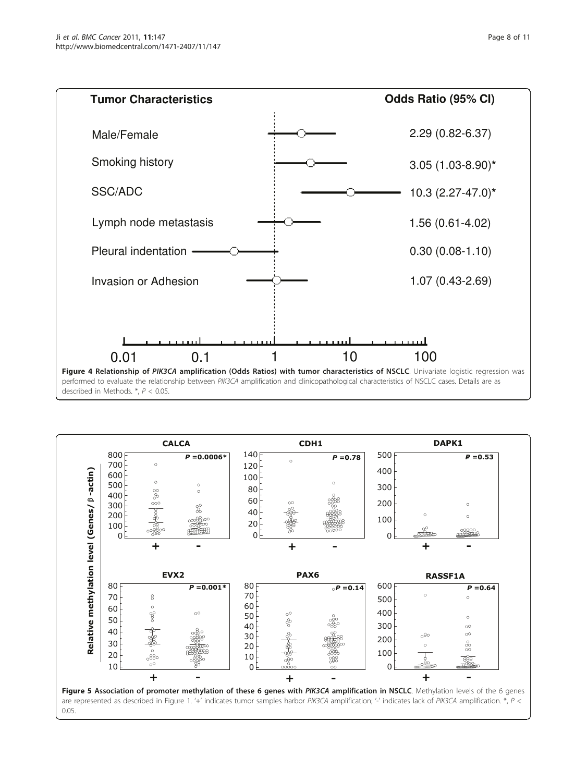<span id="page-7-0"></span>

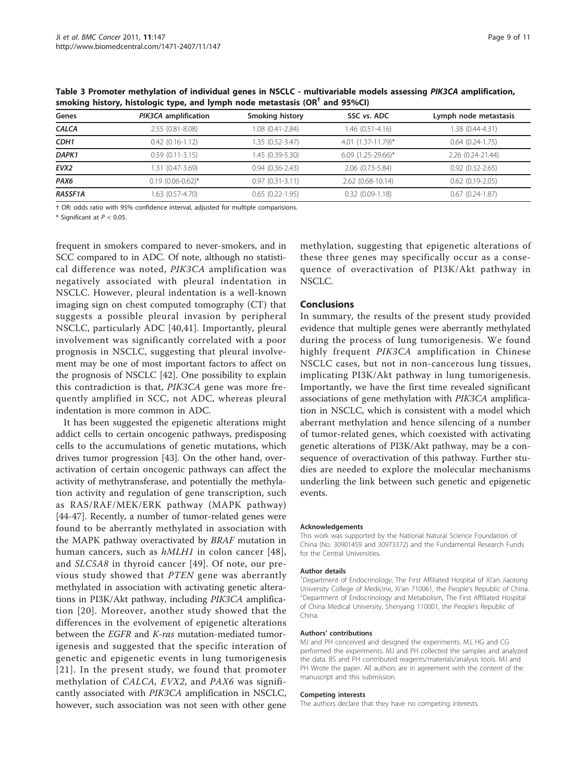| Genes            | PIK3CA amplification  | Smoking history     | SSC vs. ADC        | Lymph node metastasis  |  |
|------------------|-----------------------|---------------------|--------------------|------------------------|--|
| <b>CALCA</b>     | 2.55 (0.81-8.08)      | 1.08 (0.41-2.84)    | 1.46 (0.51-4.16)   | 1.38 (0.44-4.31)       |  |
| CDH <sub>1</sub> | $0.42(0.16-1.12)$     | 1.35 (0.52-3.47)    | 4.01 (1.37-11.79)* | $0.64(0.24-1.75)$      |  |
| DAPK1            | $0.59(0.11-3.15)$     | 1.45 (0.39-5.30)    | 6.09 (1.25-29.66)* | 2.26 (0.24-21.44)      |  |
| EVX <sub>2</sub> | .31 (0.47-3.69)       | $0.94(0.36-2.43)$   | 2.06 (0.73-5.84)   | $0.92(0.32 - 2.65)$    |  |
| PAX <sub>6</sub> | $0.19(0.06 - 0.62)^*$ | $0.97(0.31 - 3.11)$ | 2.62 (0.68-10.14)  | $0.62$ $(0.19 - 2.05)$ |  |
| <b>RASSF1A</b>   | 1.63 (0.57-4.70)      | $0.65(0.22 - 1.95)$ | $0.32(0.09-1.18)$  | $0.67(0.24 - 1.87)$    |  |
|                  |                       |                     |                    |                        |  |

<span id="page-8-0"></span>Table 3 Promoter methylation of individual genes in NSCLC - multivariable models assessing PIK3CA amplification, smoking history, histologic type, and lymph node metastasis  $(OR<sup>†</sup>$  and 95%CI)

† OR: odds ratio with 95% confidence interval, adjusted for multiple comparisions.

\* Significant at  $P < 0.05$ .

frequent in smokers compared to never-smokers, and in SCC compared to in ADC. Of note, although no statistical difference was noted, PIK3CA amplification was negatively associated with pleural indentation in NSCLC. However, pleural indentation is a well-known imaging sign on chest computed tomography (CT) that suggests a possible pleural invasion by peripheral NSCLC, particularly ADC [[40,41](#page-10-0)]. Importantly, pleural involvement was significantly correlated with a poor prognosis in NSCLC, suggesting that pleural involvement may be one of most important factors to affect on the prognosis of NSCLC [\[42](#page-10-0)]. One possibility to explain this contradiction is that, PIK3CA gene was more frequently amplified in SCC, not ADC, whereas pleural indentation is more common in ADC.

It has been suggested the epigenetic alterations might addict cells to certain oncogenic pathways, predisposing cells to the accumulations of genetic mutations, which drives tumor progression [\[43\]](#page-10-0). On the other hand, overactivation of certain oncogenic pathways can affect the activity of methytransferase, and potentially the methylation activity and regulation of gene transcription, such as RAS/RAF/MEK/ERK pathway (MAPK pathway) [[44-47\]](#page-10-0). Recently, a number of tumor-related genes were found to be aberrantly methylated in association with the MAPK pathway overactivated by BRAF mutation in human cancers, such as *hMLH1* in colon cancer [[48\]](#page-10-0), and SLC5A8 in thyroid cancer [[49\]](#page-10-0). Of note, our previous study showed that PTEN gene was aberrantly methylated in association with activating genetic alterations in PI3K/Akt pathway, including PIK3CA amplification [[20\]](#page-9-0). Moreover, another study showed that the differences in the evolvement of epigenetic alterations between the EGFR and K-ras mutation-mediated tumorigenesis and suggested that the specific interation of genetic and epigenetic events in lung tumorigenesis [[21](#page-9-0)]. In the present study, we found that promoter methylation of CALCA, EVX2, and PAX6 was significantly associated with PIK3CA amplification in NSCLC, however, such association was not seen with other gene

methylation, suggesting that epigenetic alterations of these three genes may specifically occur as a consequence of overactivation of PI3K/Akt pathway in NSCLC.

#### Conclusions

In summary, the results of the present study provided evidence that multiple genes were aberrantly methylated during the process of lung tumorigenesis. We found highly frequent PIK3CA amplification in Chinese NSCLC cases, but not in non-cancerous lung tissues, implicating PI3K/Akt pathway in lung tumorigenesis. Importantly, we have the first time revealed significant associations of gene methylation with PIK3CA amplification in NSCLC, which is consistent with a model which aberrant methylation and hence silencing of a number of tumor-related genes, which coexisted with activating genetic alterations of PI3K/Akt pathway, may be a consequence of overactivation of this pathway. Further studies are needed to explore the molecular mechanisms underling the link between such genetic and epigenetic events.

#### Acknowledgements

This work was supported by the National Natural Science Foundation of China (No. 30901459 and 30973372) and the Fundamental Research Funds for the Central Universities.

#### Author details

<sup>1</sup>Department of Endocrinology, The First Affiliated Hospital of Xi'an Jiaotong University College of Medicine, Xi'an 710061, the People's Republic of China. <sup>2</sup> <sup>2</sup>Department of Endocrinology and Metabolism, The First Affiliated Hospital of China Medical University, Shenyang 110001, the People's Republic of China.

#### Authors' contributions

MJ and PH conceived and designed the experiments. MJ, HG and CG performed the experiments. MJ and PH collected the samples and analyzed the data. BS and PH contributed reagents/materials/analysis tools. MJ and PH Wrote the paper. All authors are in agreement with the content of the manuscript and this submission.

#### Competing interests

The authors declare that they have no competing interests.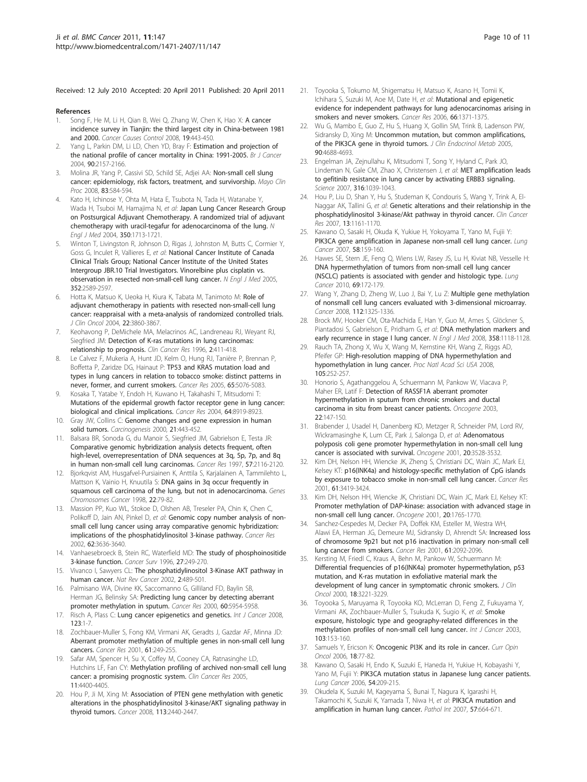<span id="page-9-0"></span>Received: 12 July 2010 Accepted: 20 April 2011 Published: 20 April 2011

#### References

- 1. Song F, He M, Li H, Qian B, Wei Q, Zhang W, Chen K, Hao X: [A cancer](http://www.ncbi.nlm.nih.gov/pubmed/18095173?dopt=Abstract) [incidence survey in Tianjin: the third largest city in China-between 1981](http://www.ncbi.nlm.nih.gov/pubmed/18095173?dopt=Abstract) [and 2000.](http://www.ncbi.nlm.nih.gov/pubmed/18095173?dopt=Abstract) Cancer Causes Control 2008, 19:443-450.
- 2. Yang L, Parkin DM, Li LD, Chen YD, Bray F: [Estimation and projection of](http://www.ncbi.nlm.nih.gov/pubmed/15150609?dopt=Abstract) [the national profile of cancer mortality in China: 1991-2005.](http://www.ncbi.nlm.nih.gov/pubmed/15150609?dopt=Abstract) Br J Cancer 2004, 90:2157-2166.
- 3. Molina JR, Yang P, Cassivi SD, Schild SE, Adjei AA: [Non-small cell slung](http://www.ncbi.nlm.nih.gov/pubmed/18452692?dopt=Abstract) [cancer: epidemiology, risk factors, treatment, and survivorship.](http://www.ncbi.nlm.nih.gov/pubmed/18452692?dopt=Abstract) Mayo Clin Proc 2008, 83:584-594.
- 4. Kato H, Ichinose Y, Ohta M, Hata E, Tsubota N, Tada H, Watanabe Y, Wada H, Tsuboi M, Hamajima N, et al: [Japan Lung Cancer Research Group](http://www.ncbi.nlm.nih.gov/pubmed/15102997?dopt=Abstract) [on Postsurgical Adjuvant Chemotherapy. A randomized trial of adjuvant](http://www.ncbi.nlm.nih.gov/pubmed/15102997?dopt=Abstract) [chemotherapy with uracil-tegafur for adenocarcinoma of the lung.](http://www.ncbi.nlm.nih.gov/pubmed/15102997?dopt=Abstract) N Engl J Med 2004, 350:1713-1721.
- 5. Winton T, Livingston R, Johnson D, Rigas J, Johnston M, Butts C, Cormier Y, Goss G, Inculet R, Vallieres E, et al: [National Cancer Institute of Canada](http://www.ncbi.nlm.nih.gov/pubmed/15972865?dopt=Abstract) [Clinical Trials Group; National Cancer Institute of the United States](http://www.ncbi.nlm.nih.gov/pubmed/15972865?dopt=Abstract) [Intergroup JBR.10 Trial Investigators. Vinorelbine plus cisplatin vs.](http://www.ncbi.nlm.nih.gov/pubmed/15972865?dopt=Abstract) [observation in resected non-small-cell lung cancer.](http://www.ncbi.nlm.nih.gov/pubmed/15972865?dopt=Abstract) N Engl J Med 2005, 352:2589-2597.
- Hotta K, Matsuo K, Ueoka H, Kiura K, Tabata M, Tanimoto M: [Role of](http://www.ncbi.nlm.nih.gov/pubmed/15326194?dopt=Abstract) [adjuvant chemotherapy in patients with resected non-small-cell lung](http://www.ncbi.nlm.nih.gov/pubmed/15326194?dopt=Abstract) [cancer: reappraisal with a meta-analysis of randomized controlled trials.](http://www.ncbi.nlm.nih.gov/pubmed/15326194?dopt=Abstract) J Clin Oncol 2004, 22:3860-3867.
- 7. Keohavong P, DeMichele MA, Melacrinos AC, Landreneau RJ, Weyant RJ, Siegfried JM: [Detection of K-ras mutations in lung carcinomas:](http://www.ncbi.nlm.nih.gov/pubmed/9816185?dopt=Abstract) [relationship to prognosis.](http://www.ncbi.nlm.nih.gov/pubmed/9816185?dopt=Abstract) Clin Cancer Res 1996, 2:411-418.
- 8. Le Calvez F, Mukeria A, Hunt JD, Kelm O, Hung RJ, Tanière P, Brennan P, Boffetta P, Zaridze DG, Hainaut P: [TP53 and KRAS mutation load and](http://www.ncbi.nlm.nih.gov/pubmed/15958551?dopt=Abstract) [types in lung cancers in relation to tobacco smoke: distinct patterns in](http://www.ncbi.nlm.nih.gov/pubmed/15958551?dopt=Abstract) [never, former, and current smokers.](http://www.ncbi.nlm.nih.gov/pubmed/15958551?dopt=Abstract) Cancer Res 2005, 65:5076-5083.
- 9. Kosaka T, Yatabe Y, Endoh H, Kuwano H, Takahashi T, Mitsudomi T: [Mutations of the epidermal growth factor receptor gene in lung cancer:](http://www.ncbi.nlm.nih.gov/pubmed/15604253?dopt=Abstract) [biological and clinical implications.](http://www.ncbi.nlm.nih.gov/pubmed/15604253?dopt=Abstract) Cancer Res 2004, 64:8919-8923.
- 10. Gray JW, Collins C: [Genome changes and gene expression in human](http://www.ncbi.nlm.nih.gov/pubmed/10688864?dopt=Abstract) [solid tumors.](http://www.ncbi.nlm.nih.gov/pubmed/10688864?dopt=Abstract) Carcinogenesis 2000, 21:443-452.
- 11. Balsara BR, Sonoda G, du Manoir S, Siegfried JM, Gabrielson E, Testa JR: [Comparative genomic hybridization analysis detects frequent, often](http://www.ncbi.nlm.nih.gov/pubmed/9187106?dopt=Abstract) [high-level, overrepresentation of DNA sequences at 3q, 5p, 7p, and 8q](http://www.ncbi.nlm.nih.gov/pubmed/9187106?dopt=Abstract) [in human non-small cell lung carcinomas.](http://www.ncbi.nlm.nih.gov/pubmed/9187106?dopt=Abstract) Cancer Res 1997, 57:2116-2120.
- 12. Bjorkqvist AM, Husgafvel-Pursiainen K, Anttila S, Karjalainen A, Tammilehto L, Mattson K, Vainio H, Knuutila S: [DNA gains in 3q occur frequently in](http://www.ncbi.nlm.nih.gov/pubmed/9591638?dopt=Abstract) [squamous cell carcinoma of the lung, but not in adenocarcinoma.](http://www.ncbi.nlm.nih.gov/pubmed/9591638?dopt=Abstract) Genes Chromosomes Cancer 1998, 22:79-82.
- 13. Massion PP, Kuo WL, Stokoe D, Olshen AB, Treseler PA, Chin K, Chen C, Polikoff D, Jain AN, Pinkel D, et al: [Genomic copy number analysis of non](http://www.ncbi.nlm.nih.gov/pubmed/12097266?dopt=Abstract)[small cell lung cancer using array comparative genomic hybridization:](http://www.ncbi.nlm.nih.gov/pubmed/12097266?dopt=Abstract) [implications of the phosphatidylinositol 3-kinase pathway.](http://www.ncbi.nlm.nih.gov/pubmed/12097266?dopt=Abstract) Cancer Res 2002, 62:3636-3640.
- 14. Vanhaesebroeck B, Stein RC, Waterfield MD: [The study of phosphoinositide](http://www.ncbi.nlm.nih.gov/pubmed/8909804?dopt=Abstract) [3-kinase function.](http://www.ncbi.nlm.nih.gov/pubmed/8909804?dopt=Abstract) Cancer Surv 1996, 27:249-270.
- 15. Vivanco I, Sawyers CL: [The phosphatidylinositol 3-Kinase AKT pathway in](http://www.ncbi.nlm.nih.gov/pubmed/12094235?dopt=Abstract) [human cancer.](http://www.ncbi.nlm.nih.gov/pubmed/12094235?dopt=Abstract) Nat Rev Cancer 2002, 2:489-501.
- 16. Palmisano WA, Divine KK, Saccomanno G, Gilliland FD, Baylin SB, Herman JG, Belinsky SA: [Predicting lung cancer by detecting aberrant](http://www.ncbi.nlm.nih.gov/pubmed/11085511?dopt=Abstract) [promoter methylation in sputum.](http://www.ncbi.nlm.nih.gov/pubmed/11085511?dopt=Abstract) Cancer Res 2000, 60:5954-5958.
- 17. Risch A, Plass C: [Lung cancer epigenetics and genetics.](http://www.ncbi.nlm.nih.gov/pubmed/18425819?dopt=Abstract) Int J Cancer 2008, 123:1-7.
- 18. Zochbauer-Muller S, Fong KM, Virmani AK, Geradts J, Gazdar AF, Minna JD: [Aberrant promoter methylation of multiple genes in non-small cell lung](http://www.ncbi.nlm.nih.gov/pubmed/11196170?dopt=Abstract) [cancers.](http://www.ncbi.nlm.nih.gov/pubmed/11196170?dopt=Abstract) Cancer Res 2001, 61:249-255.
- 19. Safar AM, Spencer H, Su X, Coffey M, Cooney CA, Ratnasinghe LD, Hutchins LF, Fan CY: [Methylation profiling of archived non-small cell lung](http://www.ncbi.nlm.nih.gov/pubmed/15958624?dopt=Abstract) [cancer: a promising prognostic system.](http://www.ncbi.nlm.nih.gov/pubmed/15958624?dopt=Abstract) Clin Cancer Res 2005, 11:4400-4405.
- 20. Hou P, Ji M, Xing M: [Association of PTEN gene methylation with genetic](http://www.ncbi.nlm.nih.gov/pubmed/18831514?dopt=Abstract) [alterations in the phosphatidylinositol 3-kinase/AKT signaling pathway in](http://www.ncbi.nlm.nih.gov/pubmed/18831514?dopt=Abstract) [thyroid tumors.](http://www.ncbi.nlm.nih.gov/pubmed/18831514?dopt=Abstract) Cancer 2008, 113:2440-2447.
- 21. Toyooka S, Tokumo M, Shigematsu H, Matsuo K, Asano H, Tomii K, Ichihara S, Suzuki M, Aoe M, Date H, et al: [Mutational and epigenetic](http://www.ncbi.nlm.nih.gov/pubmed/16452191?dopt=Abstract) [evidence for independent pathways for lung adenocarcinomas arising in](http://www.ncbi.nlm.nih.gov/pubmed/16452191?dopt=Abstract) [smokers and never smokers.](http://www.ncbi.nlm.nih.gov/pubmed/16452191?dopt=Abstract) Cancer Res 2006, 66:1371-1375.
- 22. Wu G, Mambo E, Guo Z, Hu S, Huang X, Gollin SM, Trink B, Ladenson PW, Sidransky D, Xing M: [Uncommon mutation, but common amplifications,](http://www.ncbi.nlm.nih.gov/pubmed/15928251?dopt=Abstract) [of the PIK3CA gene in thyroid tumors.](http://www.ncbi.nlm.nih.gov/pubmed/15928251?dopt=Abstract) J Clin Endocrinol Metab 2005, 90:4688-4693.
- 23. Engelman JA, Zejnullahu K, Mitsudomi T, Song Y, Hyland C, Park JO, Lindeman N, Gale CM, Zhao X, Christensen J, et al: [MET amplification leads](http://www.ncbi.nlm.nih.gov/pubmed/17463250?dopt=Abstract) [to gefitinib resistance in lung cancer by activating ERBB3 signaling.](http://www.ncbi.nlm.nih.gov/pubmed/17463250?dopt=Abstract) Science 2007, 316:1039-1043.
- 24. Hou P, Liu D, Shan Y, Hu S, Studeman K, Condouris S, Wang Y, Trink A, El-Naggar AK, Tallini G, et al: [Genetic alterations and their relationship in the](http://www.ncbi.nlm.nih.gov/pubmed/17317825?dopt=Abstract) [phosphatidylinositol 3-kinase/Akt pathway in thyroid cancer.](http://www.ncbi.nlm.nih.gov/pubmed/17317825?dopt=Abstract) Clin Cancer Res 2007, 13:1161-1170.
- 25. Kawano O, Sasaki H, Okuda K, Yukiue H, Yokoyama T, Yano M, Fujii Y: [PIK3CA gene amplification in Japanese non-small cell lung cancer.](http://www.ncbi.nlm.nih.gov/pubmed/17681398?dopt=Abstract) Lung Cancer 2007, 58:159-160.
- 26. Hawes SE, Stern JE, Feng Q, Wiens LW, Rasey JS, Lu H, Kiviat NB, Vesselle H: [DNA hypermethylation of tumors from non-small cell lung cancer](http://www.ncbi.nlm.nih.gov/pubmed/19945765?dopt=Abstract) [\(NSCLC\) patients is associated with gender and histologic type.](http://www.ncbi.nlm.nih.gov/pubmed/19945765?dopt=Abstract) Lung Cancer 2010, 69:172-179.
- 27. Wang Y, Zhang D, Zheng W, Luo J, Bai Y, Lu Z: [Multiple gene methylation](http://www.ncbi.nlm.nih.gov/pubmed/18286531?dopt=Abstract) [of nonsmall cell lung cancers evaluated with 3-dimensional microarray.](http://www.ncbi.nlm.nih.gov/pubmed/18286531?dopt=Abstract) Cancer 2008, 112:1325-1336.
- 28. Brock MV, Hooker CM, Ota-Machida E, Han Y, Guo M, Ames S, Glöckner S, Piantadosi S, Gabrielson E, Pridham G, et al: [DNA methylation markers and](http://www.ncbi.nlm.nih.gov/pubmed/18337602?dopt=Abstract) [early recurrence in stage I lung cancer.](http://www.ncbi.nlm.nih.gov/pubmed/18337602?dopt=Abstract) N Engl J Med 2008, 358:1118-1128.
- 29. Rauch TA, Zhong X, Wu X, Wang M, Kernstine KH, Wang Z, Riggs AD, Pfeifer GP: [High-resolution mapping of DNA hypermethylation and](http://www.ncbi.nlm.nih.gov/pubmed/18162535?dopt=Abstract) [hypomethylation in lung cancer.](http://www.ncbi.nlm.nih.gov/pubmed/18162535?dopt=Abstract) Proc Natl Acad Sci USA 2008, 105:252-257.
- 30. Honorio S, Agathanggelou A, Schuermann M, Pankow W, Viacava P, Maher ER, Latif F: [Detection of RASSF1A aberrant promoter](http://www.ncbi.nlm.nih.gov/pubmed/12527916?dopt=Abstract) [hypermethylation in sputum from chronic smokers and ductal](http://www.ncbi.nlm.nih.gov/pubmed/12527916?dopt=Abstract) [carcinoma in situ from breast cancer patients.](http://www.ncbi.nlm.nih.gov/pubmed/12527916?dopt=Abstract) Oncogene 2003, 22:147-150.
- 31. Brabender J, Usadel H, Danenberg KD, Metzger R, Schneider PM, Lord RV, Wickramasinghe K, Lum CE, Park J, Salonga D, et al: [Adenomatous](http://www.ncbi.nlm.nih.gov/pubmed/11429699?dopt=Abstract) [polyposis coli gene promoter hypermethylation in non-small cell lung](http://www.ncbi.nlm.nih.gov/pubmed/11429699?dopt=Abstract) [cancer is associated with survival.](http://www.ncbi.nlm.nih.gov/pubmed/11429699?dopt=Abstract) Oncogene 2001, 20:3528-3532.
- 32. Kim DH, Nelson HH, Wiencke JK, Zheng S, Christiani DC, Wain JC, Mark EJ, Kelsey KT: [p16\(INK4a\) and histology-specific methylation of CpG islands](http://www.ncbi.nlm.nih.gov/pubmed/11309302?dopt=Abstract) [by exposure to tobacco smoke in non-small cell lung cancer.](http://www.ncbi.nlm.nih.gov/pubmed/11309302?dopt=Abstract) Cancer Res 2001, 61:3419-3424.
- 33. Kim DH, Nelson HH, Wiencke JK, Christiani DC, Wain JC, Mark EJ, Kelsey KT: [Promoter methylation of DAP-kinase: association with advanced stage in](http://www.ncbi.nlm.nih.gov/pubmed/11313923?dopt=Abstract) [non-small cell lung cancer.](http://www.ncbi.nlm.nih.gov/pubmed/11313923?dopt=Abstract) Oncogene 2001, 20:1765-1770.
- 34. Sanchez-Cespedes M, Decker PA, Doffek KM, Esteller M, Westra WH, Alawi EA, Herman JG, Demeure MJ, Sidransky D, Ahrendt SA: [Increased loss](http://www.ncbi.nlm.nih.gov/pubmed/11280771?dopt=Abstract) [of chromosome 9p21 but not p16 inactivation in primary non-small cell](http://www.ncbi.nlm.nih.gov/pubmed/11280771?dopt=Abstract) [lung cancer from smokers.](http://www.ncbi.nlm.nih.gov/pubmed/11280771?dopt=Abstract) Cancer Res 2001, 61:2092-2096.
- 35. Kersting M, Friedl C, Kraus A, Behn M, Pankow W, Schuermann M: [Differential frequencies of p16\(INK4a\) promoter hypermethylation, p53](http://www.ncbi.nlm.nih.gov/pubmed/10986054?dopt=Abstract) [mutation, and K-ras mutation in exfoliative material mark the](http://www.ncbi.nlm.nih.gov/pubmed/10986054?dopt=Abstract) [development of lung cancer in symptomatic chronic smokers.](http://www.ncbi.nlm.nih.gov/pubmed/10986054?dopt=Abstract) J Clin Oncol 2000, 18:3221-3229.
- 36. Toyooka S, Maruyama R, Toyooka KO, McLerran D, Feng Z, Fukuyama Y, Virmani AK, Zochbauer-Muller S, Tsukuda K, Sugio K, et al: [Smoke](http://www.ncbi.nlm.nih.gov/pubmed/12455028?dopt=Abstract) [exposure, histologic type and geography-related differences in the](http://www.ncbi.nlm.nih.gov/pubmed/12455028?dopt=Abstract) [methylation profiles of non-small cell lung cancer.](http://www.ncbi.nlm.nih.gov/pubmed/12455028?dopt=Abstract) Int J Cancer 2003, 103:153-160.
- 37. Samuels Y, Ericson K: [Oncogenic PI3K and its role in cancer.](http://www.ncbi.nlm.nih.gov/pubmed/16357568?dopt=Abstract) Curr Opin Oncol 2006, 18:77-82.
- 38. Kawano O, Sasaki H, Endo K, Suzuki E, Haneda H, Yukiue H, Kobayashi Y, Yano M, Fujii Y: [PIK3CA mutation status in Japanese lung cancer patients.](http://www.ncbi.nlm.nih.gov/pubmed/16930767?dopt=Abstract) Lung Cancer 2006, 54:209-215.
- 39. Okudela K, Suzuki M, Kageyama S, Bunai T, Nagura K, Igarashi H, Takamochi K, Suzuki K, Yamada T, Niwa H, et al: [PIK3CA mutation and](http://www.ncbi.nlm.nih.gov/pubmed/17803655?dopt=Abstract) [amplification in human lung cancer.](http://www.ncbi.nlm.nih.gov/pubmed/17803655?dopt=Abstract) Pathol Int 2007, 57:664-671.